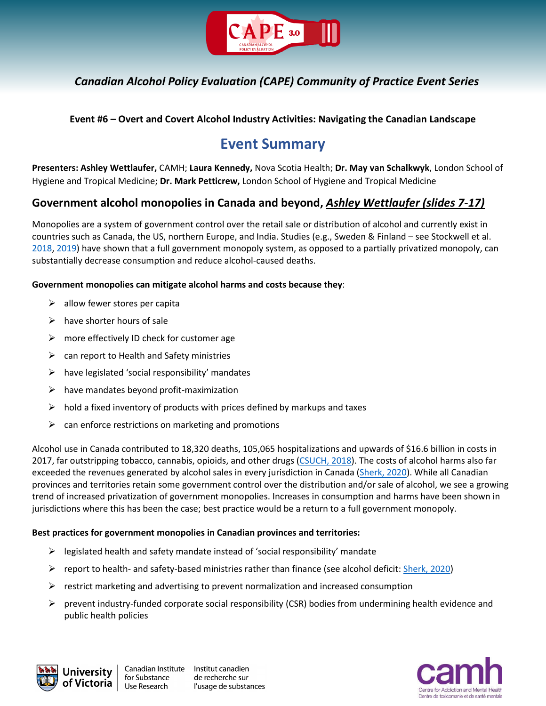

### **Event #6 – Overt and Covert Alcohol Industry Activities: Navigating the Canadian Landscape**

# **Event Summary**

**Presenters: Ashley Wettlaufer,** CAMH; **Laura Kennedy,** Nova Scotia Health; **Dr. May van Schalkwyk**, London School of Hygiene and Tropical Medicine; **Dr. Mark Petticrew,** London School of Hygiene and Tropical Medicine

### **Government alcohol monopolies in Canada and beyond,** *Ashley Wettlaufer (slides 7-17)*

Monopolies are a system of government control over the retail sale or distribution of alcohol and currently exist in countries such as Canada, the US, northern Europe, and India. Studies (e.g., Sweden & Finland – see Stockwell et al. [2018,](https://bmcpublichealth.biomedcentral.com/articles/10.1186/s12889-018-6312-x) [2019\)](https://www.uvic.ca/research/centres/cisur/assets/docs/report-alko.pdf) have shown that a full government monopoly system, as opposed to a partially privatized monopoly, can substantially decrease consumption and reduce alcohol-caused deaths.

### **Government monopolies can mitigate alcohol harms and costs because they**:

- $\triangleright$  allow fewer stores per capita
- $\triangleright$  have shorter hours of sale
- $\triangleright$  more effectively ID check for customer age
- $\triangleright$  can report to Health and Safety ministries
- $\triangleright$  have legislated 'social responsibility' mandates
- $\triangleright$  have mandates beyond profit-maximization
- $\triangleright$  hold a fixed inventory of products with prices defined by markups and taxes
- $\triangleright$  can enforce restrictions on marketing and promotions

Alcohol use in Canada contributed to 18,320 deaths, 105,065 hospitalizations and upwards of \$16.6 billion in costs in 2017, far outstripping tobacco, cannabis, opioids, and other drugs [\(CSUCH, 2018\)](https://csuch.ca/). The costs of alcohol harms also far exceeded the revenues generated by alcohol sales in every jurisdiction in Canada [\(Sherk, 2020\)](https://www.canada.ca/en/public-health/services/reports-publications/health-promotion-chronic-disease-prevention-canada-research-policy-practice/vol-40-no-5-6-2020/alcohol-deficit-canadian-government-revenue-societal-costs.html). While all Canadian provinces and territories retain some government control over the distribution and/or sale of alcohol, we see a growing trend of increased privatization of government monopolies. Increases in consumption and harms have been shown in jurisdictions where this has been the case; best practice would be a return to a full government monopoly.

#### **Best practices for government monopolies in Canadian provinces and territories:**

- $\triangleright$  legislated health and safety mandate instead of 'social responsibility' mandate
- **P** report to health- and safety-based ministries rather than finance (see alcohol deficit: [Sherk, 2020\)](https://www.canada.ca/en/public-health/services/reports-publications/health-promotion-chronic-disease-prevention-canada-research-policy-practice/vol-40-no-5-6-2020/alcohol-deficit-canadian-government-revenue-societal-costs.html)
- $\triangleright$  restrict marketing and advertising to prevent normalization and increased consumption
- $\triangleright$  prevent industry-funded corporate social responsibility (CSR) bodies from undermining health evidence and public health policies



Canadian Institute Institut canadien de recherche sur l'usage de substances

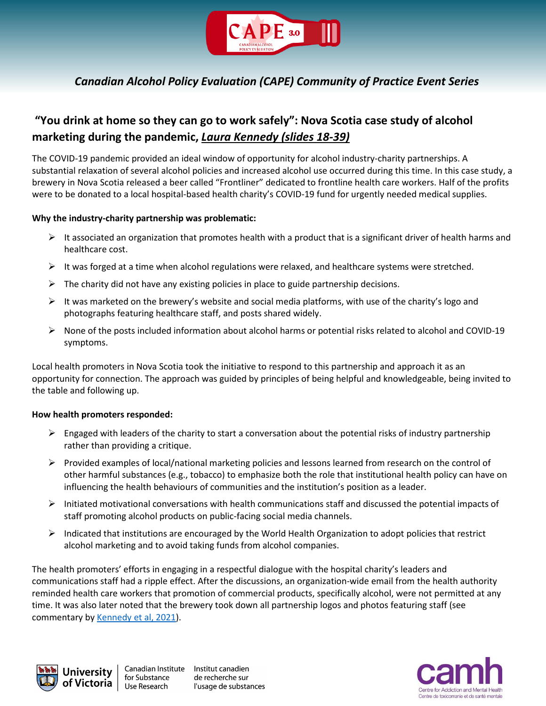

## **"You drink at home so they can go to work safely": Nova Scotia case study of alcohol marketing during the pandemic,** *Laura Kennedy (slides 18-39)*

The COVID-19 pandemic provided an ideal window of opportunity for alcohol industry-charity partnerships. A substantial relaxation of several alcohol policies and increased alcohol use occurred during this time. In this case study, a brewery in Nova Scotia released a beer called "Frontliner" dedicated to frontline health care workers. Half of the profits were to be donated to a local hospital-based health charity's COVID-19 fund for urgently needed medical supplies.

### **Why the industry-charity partnership was problematic:**

- $\triangleright$  It associated an organization that promotes health with a product that is a significant driver of health harms and healthcare cost.
- $\triangleright$  It was forged at a time when alcohol regulations were relaxed, and healthcare systems were stretched.
- $\triangleright$  The charity did not have any existing policies in place to guide partnership decisions.
- $\triangleright$  It was marketed on the brewery's website and social media platforms, with use of the charity's logo and photographs featuring healthcare staff, and posts shared widely.
- $\triangleright$  None of the posts included information about alcohol harms or potential risks related to alcohol and COVID-19 symptoms.

Local health promoters in Nova Scotia took the initiative to respond to this partnership and approach it as an opportunity for connection. The approach was guided by principles of being helpful and knowledgeable, being invited to the table and following up.

#### **How health promoters responded:**

- $\triangleright$  Engaged with leaders of the charity to start a conversation about the potential risks of industry partnership rather than providing a critique.
- $\triangleright$  Provided examples of local/national marketing policies and lessons learned from research on the control of other harmful substances (e.g., tobacco) to emphasize both the role that institutional health policy can have on influencing the health behaviours of communities and the institution's position as a leader.
- $\triangleright$  Initiated motivational conversations with health communications staff and discussed the potential impacts of staff promoting alcohol products on public-facing social media channels.
- $\triangleright$  Indicated that institutions are encouraged by the World Health Organization to adopt policies that restrict alcohol marketing and to avoid taking funds from alcohol companies.

The health promoters' efforts in engaging in a respectful dialogue with the hospital charity's leaders and communications staff had a ripple effect. After the discussions, an organization-wide email from the health authority reminded health care workers that promotion of commercial products, specifically alcohol, were not permitted at any time. It was also later noted that the brewery took down all partnership logos and photos featuring staff (see commentary by [Kennedy et al, 2021\)](https://onlinelibrary.wiley.com/doi/full/10.1111/dar.13374).



Institut canadien de recherche sur l'usage de substances

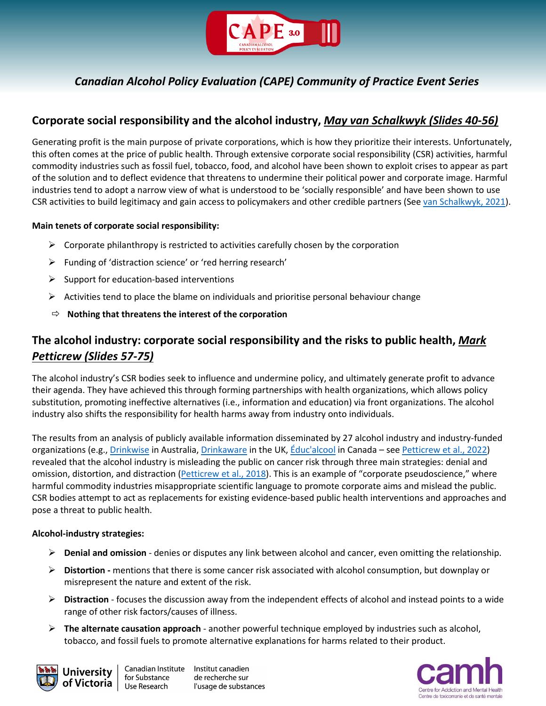

### **Corporate social responsibility and the alcohol industry,** *May van Schalkwyk (Slides 40-56)*

Generating profit is the main purpose of private corporations, which is how they prioritize their interests. Unfortunately, this often comes at the price of public health. Through extensive corporate social responsibility (CSR) activities, harmful commodity industries such as fossil fuel, tobacco, food, and alcohol have been shown to exploit crises to appear as part of the solution and to deflect evidence that threatens to undermine their political power and corporate image. Harmful industries tend to adopt a narrow view of what is understood to be 'socially responsible' and have been shown to use CSR activities to build legitimacy and gain access to policymakers and other credible partners (Se[e van Schalkwyk, 2021\)](https://www.bmj.com/content/374/bmj.n1879).

### **Main tenets of corporate social responsibility:**

- $\triangleright$  Corporate philanthropy is restricted to activities carefully chosen by the corporation
- Funding of 'distraction science' or 'red herring research'
- $\triangleright$  Support for education-based interventions
- $\triangleright$  Activities tend to place the blame on individuals and prioritise personal behaviour change
- **Nothing that threatens the interest of the corporation**

## **The alcohol industry: corporate social responsibility and the risks to public health,** *Mark Petticrew (Slides 57-75)*

The alcohol industry's CSR bodies seek to influence and undermine policy, and ultimately generate profit to advance their agenda. They have achieved this through forming partnerships with health organizations, which allows policy substitution, promoting ineffective alternatives (i.e., information and education) via front organizations. The alcohol industry also shifts the responsibility for health harms away from industry onto individuals.

The results from an analysis of publicly available information disseminated by 27 alcohol industry and industry-funded organizations (e.g., [Drinkwise](https://drinkwise.org.au/) in Australia[, Drinkaware](https://www.drinkaware.co.uk/) in the UK, [Éduc'alcool](https://www.educalcool.qc.ca/en/home/) in Canada – see [Petticrew et al., 2022\)](https://academic.oup.com/eurpub/article/32/1/6/6519436) revealed that the alcohol industry is misleading the public on cancer risk through three main strategies: denial and omission, distortion, and distraction [\(Petticrew et al., 2018\)](https://pubmed.ncbi.nlm.nih.gov/28881410/). This is an example of "corporate pseudoscience," where harmful commodity industries misappropriate scientific language to promote corporate aims and mislead the public. CSR bodies attempt to act as replacements for existing evidence-based public health interventions and approaches and pose a threat to public health.

#### **Alcohol-industry strategies:**

- **Denial and omission** denies or disputes any link between alcohol and cancer, even omitting the relationship.
- **Distortion -** mentions that there is some cancer risk associated with alcohol consumption, but downplay or misrepresent the nature and extent of the risk.
- **Distraction** focuses the discussion away from the independent effects of alcohol and instead points to a wide range of other risk factors/causes of illness.
- **The alternate causation approach** another powerful technique employed by industries such as alcohol, tobacco, and fossil fuels to promote alternative explanations for harms related to their product.



Institut canadien de recherche sur l'usage de substances